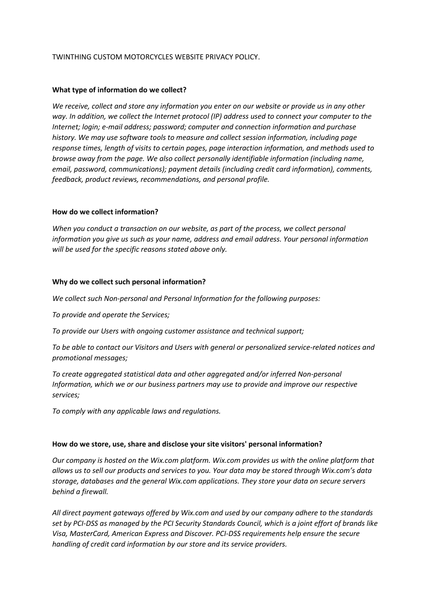# TWINTHING CUSTOM MOTORCYCLES WEBSITE PRIVACY POLICY.

# **What type of information do we collect?**

*We receive, collect and store any information you enter on our website or provide us in any other way. In addition, we collect the Internet protocol (IP) address used to connect your computer to the Internet; login; e-mail address; password; computer and connection information and purchase history. We may use software tools to measure and collect session information, including page response times, length of visits to certain pages, page interaction information, and methods used to browse away from the page. We also collect personally identifiable information (including name, email, password, communications); payment details (including credit card information), comments, feedback, product reviews, recommendations, and personal profile.*

## **How do we collect information?**

*When you conduct a transaction on our website, as part of the process, we collect personal information you give us such as your name, address and email address. Your personal information will be used for the specific reasons stated above only.*

## **Why do we collect such personal information?**

*We collect such Non-personal and Personal Information for the following purposes:*

*To provide and operate the Services;*

*To provide our Users with ongoing customer assistance and technical support;*

*To be able to contact our Visitors and Users with general or personalized service-related notices and promotional messages;*

*To create aggregated statistical data and other aggregated and/or inferred Non-personal Information, which we or our business partners may use to provide and improve our respective services;*

*To comply with any applicable laws and regulations.*

#### **How do we store, use, share and disclose your site visitors' personal information?**

*Our company is hosted on the Wix.com platform. Wix.com provides us with the online platform that allows us to sell our products and services to you. Your data may be stored through Wix.com's data storage, databases and the general Wix.com applications. They store your data on secure servers behind a firewall.*

*All direct payment gateways offered by Wix.com and used by our company adhere to the standards set by PCI-DSS as managed by the PCI Security Standards Council, which is a joint effort of brands like Visa, MasterCard, American Express and Discover. PCI-DSS requirements help ensure the secure handling of credit card information by our store and its service providers.*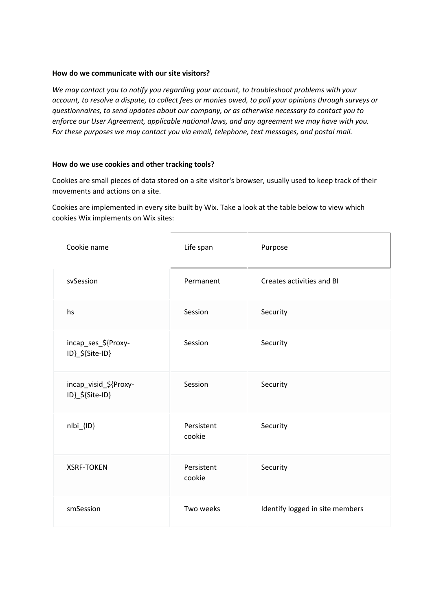# **How do we communicate with our site visitors?**

*We may contact you to notify you regarding your account, to troubleshoot problems with your account, to resolve a dispute, to collect fees or monies owed, to poll your opinions through surveys or questionnaires, to send updates about our company, or as otherwise necessary to contact you to enforce our User Agreement, applicable national laws, and any agreement we may have with you. For these purposes we may contact you via email, telephone, text messages, and postal mail.*

## **How do we use cookies and other tracking tools?**

Cookies are small pieces of data stored on a site visitor's browser, usually used to keep track of their movements and actions on a site.

Cookies are implemented in every site built by Wix. Take a look at the table below to view which cookies Wix implements on Wix sites:

| Cookie name                              | Life span            | Purpose                         |
|------------------------------------------|----------------------|---------------------------------|
| svSession                                | Permanent            | Creates activities and BI       |
| hs                                       | Session              | Security                        |
| incap_ses_\${Proxy-<br>ID}_\${Site-ID}   | Session              | Security                        |
| incap_visid_\${Proxy-<br>ID}_\${Site-ID} | Session              | Security                        |
| nlbi_{ID}                                | Persistent<br>cookie | Security                        |
| <b>XSRF-TOKEN</b>                        | Persistent<br>cookie | Security                        |
| smSession                                | Two weeks            | Identify logged in site members |